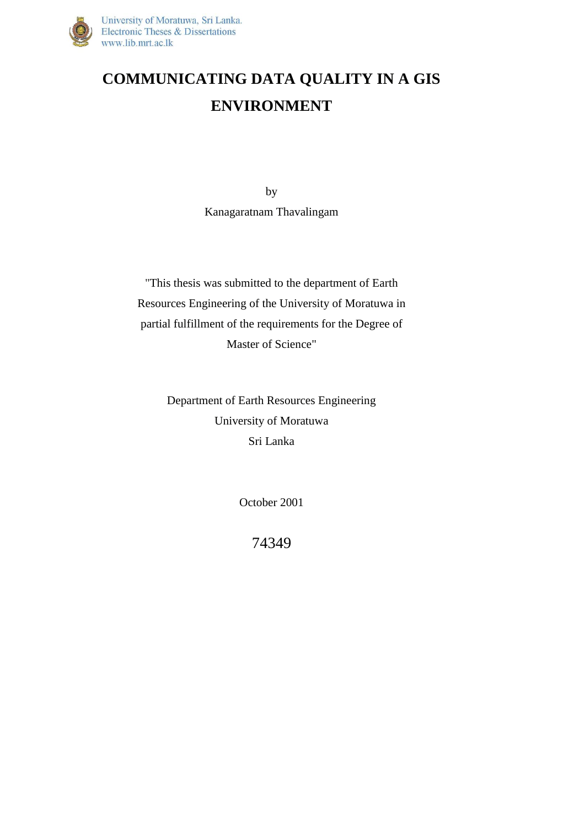

# **COMMUNICATING DATA QUALITY IN A GIS ENVIRONMENT**

by Kanagaratnam Thavalingam

"This thesis was submitted to the department of Earth Resources Engineering of the University of Moratuwa in partial fulfillment of the requirements for the Degree of Master of Science"

> Department of Earth Resources Engineering University of Moratuwa Sri Lanka

> > October 2001

74349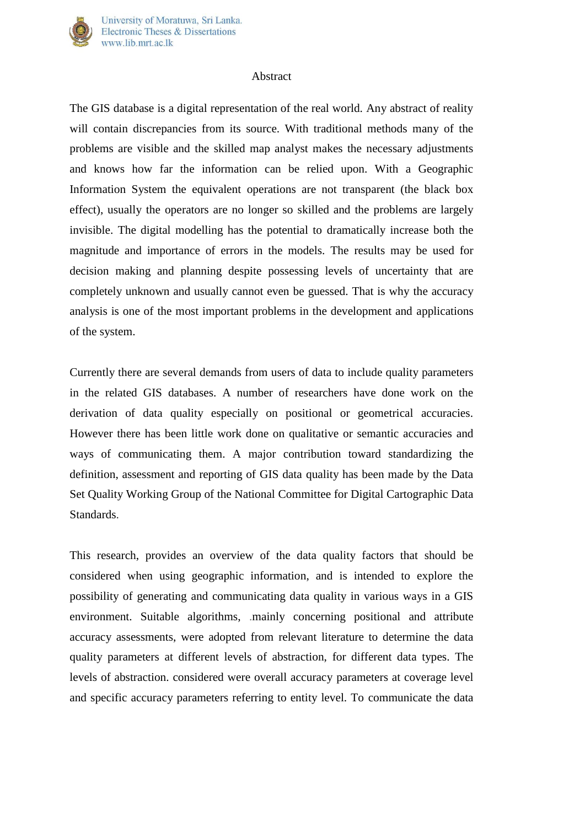

#### Abstract

The GIS database is a digital representation of the real world. Any abstract of reality will contain discrepancies from its source. With traditional methods many of the problems are visible and the skilled map analyst makes the necessary adjustments and knows how far the information can be relied upon. With a Geographic Information System the equivalent operations are not transparent (the black box effect), usually the operators are no longer so skilled and the problems are largely invisible. The digital modelling has the potential to dramatically increase both the magnitude and importance of errors in the models. The results may be used for decision making and planning despite possessing levels of uncertainty that are completely unknown and usually cannot even be guessed. That is why the accuracy analysis is one of the most important problems in the development and applications of the system.

Currently there are several demands from users of data to include quality parameters in the related GIS databases. A number of researchers have done work on the derivation of data quality especially on positional or geometrical accuracies. However there has been little work done on qualitative or semantic accuracies and ways of communicating them. A major contribution toward standardizing the definition, assessment and reporting of GIS data quality has been made by the Data Set Quality Working Group of the National Committee for Digital Cartographic Data Standards.

This research, provides an overview of the data quality factors that should be considered when using geographic information, and is intended to explore the possibility of generating and communicating data quality in various ways in a GIS environment. Suitable algorithms, .mainly concerning positional and attribute accuracy assessments, were adopted from relevant literature to determine the data quality parameters at different levels of abstraction, for different data types. The levels of abstraction. considered were overall accuracy parameters at coverage level and specific accuracy parameters referring to entity level. To communicate the data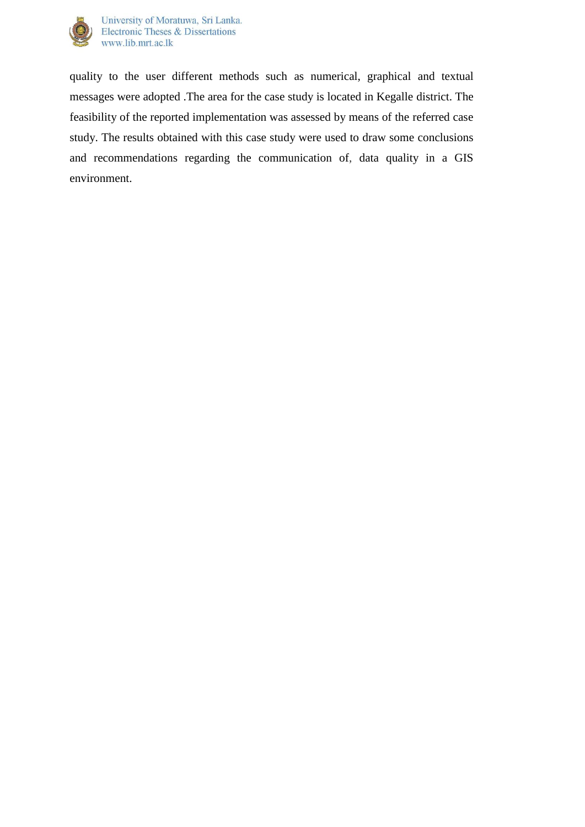

quality to the user different methods such as numerical, graphical and textual messages were adopted .The area for the case study is located in Kegalle district. The feasibility of the reported implementation was assessed by means of the referred case study. The results obtained with this case study were used to draw some conclusions and recommendations regarding the communication of, data quality in a GIS environment.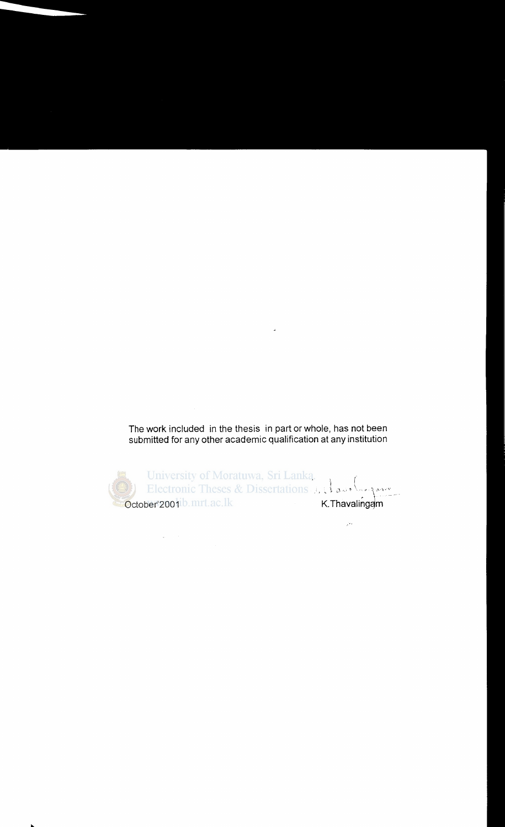The work included in the thesis in part or whole, has not been submitted for any other academic qualification at any institution

ú.

I October 2001 b. mrt. ac. lk *:.* '~ ,\ , .. \"'' \'''\"~-  $K$ . Thavalingam

 $\mathcal{L}(\mathbf{q},\mathbf{q})$  , where  $\mathcal{L}(\mathbf{q},\mathbf{q})$ 

 $\mathcal{G}(\cdot)$ 

..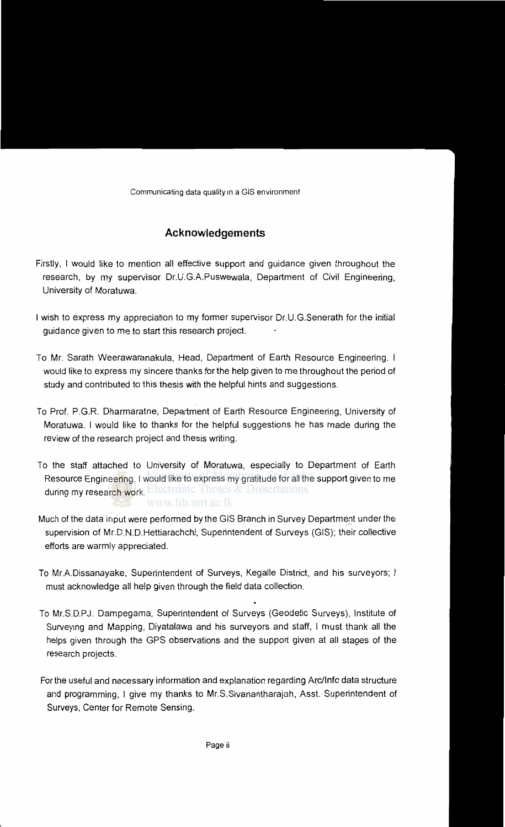## **Acknowledgements**

- Firstly, I would like to mention all effective support and guidance given throughout the research, by my supervisor Dr.U.G.A.Puswewala, Department of Civil Engineering, University of Moratuwa.
- I wish to express my appreciation to my former supervisor Dr.U.G.Senerath for the initial guidance given to me to start this research project.
- To Mr. Sarath Weerawaranakula, Head, Department of Earth Resource Engineering. I would like to express my sincere thanks for the help given to me throughout the period of study and contributed to this thesis with the helpful hints and suggestions.
- To Prof. P.G.R. Dharmaratne, Department of Earth Resource Engineering, University of Moratuwa. I would like to thanks for the helpful suggestions he has made during the review of the research project and thesis writing.
- To the staff attached to University of Moratuwa, especially to Department of Earth Resource Engineering, I would like to express my gratitude for all the support given to me during my research work. Electronic Theses & Dissertations www.lib.mrt.ac.lk
- Much of the data input were performed by the GIS Branch in Survey Department under the<br>... supervision of Mr.D.N.D.Hettiarachchi, Superintendent of Surveys (GIS); their collective efforts are warmly appreciated.
- To Mr.A.Dissanayake, Superintendent of Surveys, Kegalle District, and his surveyors; I must acknowledge all help given through the field data collection.
- To Mr.S.D.PJ. Dampegama, Superintendent of Surveys (Geodetic Surveys), Institute of Surveying and Mapping, Diyatalawa and his surveyors and staff, I must thank all the helps given through the GPS observations and the support given at all stages of the research projects.
- For the useful and necessary information and explanation regarding A~c/lnfo data structure and programming, I give my thanks to Mr.S.Sivanantharajah, Asst. Superintendent of Surveys, Center for Remote Sensing.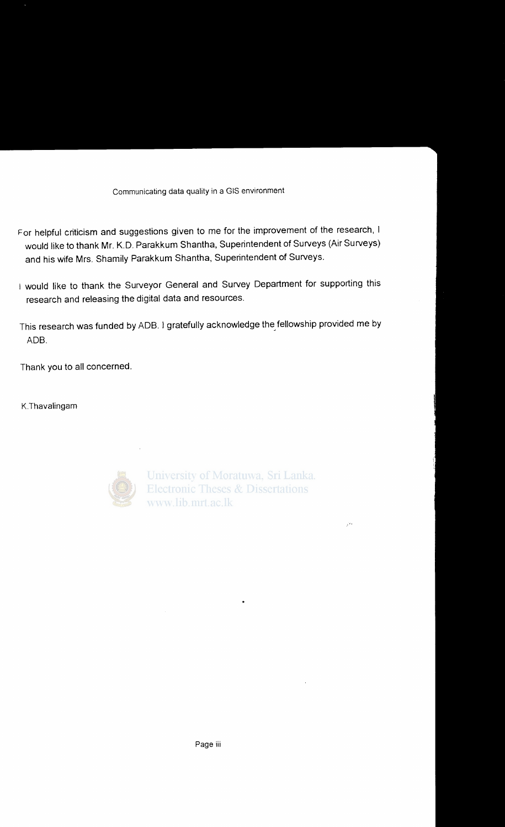- For helpful criticism and suggestions given to me for the improvement of the research, I would like to thank Mr. K.D. Parakkum Shantha, Superintendent of Surveys (Air Surveys) and his wife Mrs. Shamily Parakkum Shantha, Superintendent of Surveys.
- 1 would like to thank the Surveyor General and Survey Department for supporting this research and releasing the digital data and resources.
- This research was funded by ADB. I gratefully acknowledge the\_ fellowship provided me by ADB.

Thank you to all concerned.

K.Thavalingam



University of Moratuwa, Sri Lanka. **Electronic Theses & Dissertations** www.lib.mrt.ac.lk

 $\sqrt{2}$  .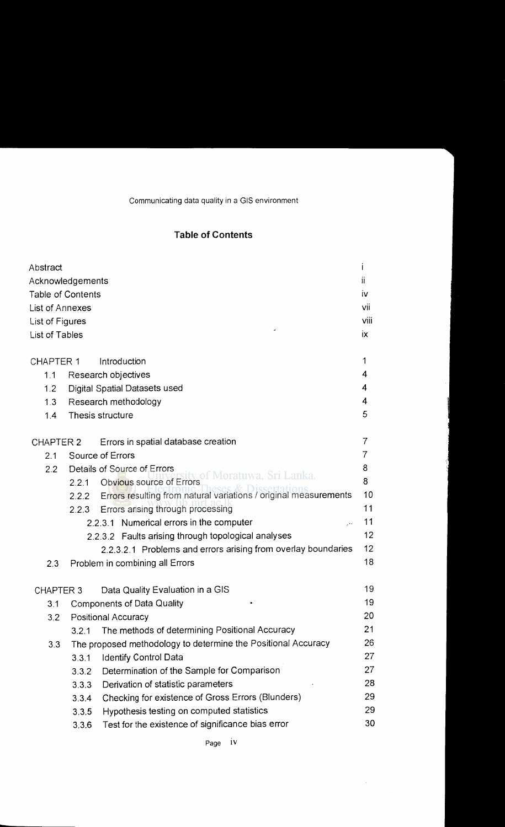## **Table of Contents**

| Abstract                 |       |                                                                        | T   |
|--------------------------|-------|------------------------------------------------------------------------|-----|
| Acknowledgements         |       |                                                                        | ii  |
| <b>Table of Contents</b> |       |                                                                        | İV. |
| List of Annexes          |       |                                                                        | vii |
| <b>List of Figures</b>   |       | viii                                                                   |     |
| List of Tables           |       |                                                                        | iх. |
|                          |       | Introduction                                                           | 1   |
| <b>CHAPTER 1</b>         |       |                                                                        | 4   |
| 1.1                      |       | Research objectives                                                    | 4   |
| 1.2                      |       | Digital Spatial Datasets used                                          | 4   |
| 1.3                      |       | Research methodology<br>Thesis structure                               | 5   |
| 1.4                      |       |                                                                        |     |
| CHAPTER 2                |       | Errors in spatial database creation                                    | 7   |
| 2.1                      |       | Source of Errors                                                       | 7   |
| 2.2                      |       | Details of Source of Errors<br>v of Moratuwa. Sri Lanka.               | 8   |
|                          |       | 2.2.1 Obvious source of Errors                                         | 8   |
|                          |       | 2.2.2 Errors resulting from natural variations / original measurements | 10  |
|                          |       | 2.2.3 Errors arising through processing                                | 11  |
|                          |       | 2.2.3.1 Numerical errors in the computer<br>$\mathcal{G}(\mathcal{E})$ | 11  |
|                          |       | 2.2.3.2 Faults arising through topological analyses                    | 12  |
|                          |       | 2.2.3.2.1 Problems and errors arising from overlay boundaries          | 12  |
| 2.3                      |       | Problem in combining all Errors                                        | 18  |
| <b>CHAPTER 3</b>         |       | Data Quality Evaluation in a GIS                                       | 19  |
| 3.1                      |       | <b>Components of Data Quality</b>                                      | 19  |
| 3.2                      |       | <b>Positional Accuracy</b>                                             | 20  |
|                          | 3.2.1 | The methods of determining Positional Accuracy                         | 21  |
| 3.3                      |       | The proposed methodology to determine the Positional Accuracy          | 26  |
|                          | 3.3.1 | <b>Identify Control Data</b>                                           | 27  |
|                          | 3.3.2 | Determination of the Sample for Comparison                             | 27  |
|                          | 3.3.3 | Derivation of statistic parameters                                     | 28  |
|                          | 3.3.4 | Checking for existence of Gross Errors (Blunders)                      | 29  |
|                          | 3.3.5 | Hypothesis testing on computed statistics                              | 29  |
|                          | 3.3.6 | Test for the existence of significance bias error                      | 30  |

Page IV

 $\label{eq:2.1} \frac{1}{\sqrt{2\pi}}\int_{0}^{\infty} \frac{d\mu}{\sqrt{2\pi}}\,d\mu$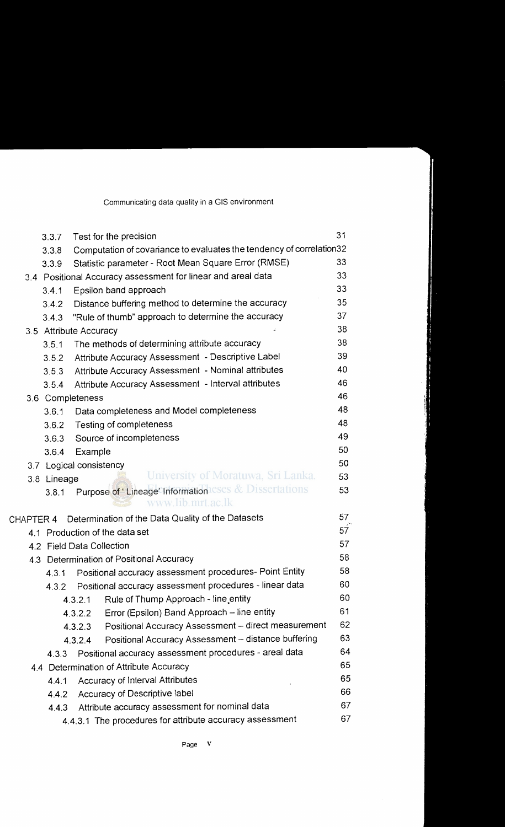Communicating data quality in a GIS environment

|           | 3.3.7       | Test for the precision                                                     | 31              |
|-----------|-------------|----------------------------------------------------------------------------|-----------------|
|           | 3.3.8       | Computation of covariance to evaluates the tendency of correlation32       |                 |
|           | 3.3.9       | Statistic parameter - Root Mean Square Error (RMSE)                        | 33              |
|           |             | 3.4 Positional Accuracy assessment for linear and areal data               | 33              |
|           | 3.4.1       | Epsilon band approach                                                      | 33              |
|           | 3.4.2       | Distance buffering method to determine the accuracy                        | 35              |
|           | 3.4.3       | "Rule of thumb" approach to determine the accuracy                         | 37              |
|           |             | 3.5 Attribute Accuracy                                                     | 38              |
|           | 3.5.1       | The methods of determining attribute accuracy                              | 38              |
|           | 3.5.2       | Attribute Accuracy Assessment - Descriptive Label                          | 39              |
|           | 3.5.3       | Attribute Accuracy Assessment - Nominal attributes                         | 40              |
|           | 3.5.4       | Attribute Accuracy Assessment - Interval attributes                        | 46              |
|           |             | 3.6 Completeness                                                           | 46              |
|           | 3.6.1       | Data completeness and Model completeness                                   | 48              |
|           | 3.6.2       | Testing of completeness                                                    | 48              |
|           | 3.6.3       | Source of incompleteness                                                   | 49              |
|           | 3.6.4       | Example                                                                    | 50              |
|           |             | 3.7 Logical consistency                                                    | 50              |
|           | 3.8 Lineage | University of Moratuwa, Sri Lanka.                                         | 53              |
|           | 3.8.1       | Purpose of 'Lineage' Informationleses & Dissertations<br>www.lib.mrt.ac.lk | 53              |
| CHAPTER 4 |             | Determination of the Data Quality of the Datasets                          | 57              |
|           |             | 4.1 Production of the data set                                             | 57 <sup>°</sup> |
|           |             | 4.2 Field Data Collection                                                  | 57              |
|           |             | 4.3 Determination of Positional Accuracy                                   | 58              |
|           | 4.3.1       | Positional accuracy assessment procedures- Point Entity                    | 58              |
|           | 4.3.2       | Positional accuracy assessment procedures - linear data                    | 60              |
|           |             | Rule of Thump Approach - line entity<br>4.3.2.1                            | 60              |
|           |             | Error (Epsilon) Band Approach - line entity<br>4.3.2.2                     | 61              |
|           |             | Positional Accuracy Assessment - direct measurement<br>4.3.2.3             | 62              |
|           |             | Positional Accuracy Assessment - distance buffering<br>4.3.2.4             | 63              |
|           | 4.3.3       | Positional accuracy assessment procedures - areal data                     | 64              |
|           |             | 4.4 Determination of Attribute Accuracy                                    | 65              |
|           | 4.4.1       | Accuracy of Interval Attributes                                            | 65              |
|           | 4.4.2       | Accuracy of Descriptive label                                              | 66              |
|           | 4.4.3       | Attribute accuracy assessment for nominal data                             | 67              |
|           |             | 4.4.3.1 The procedures for attribute accuracy assessment                   | 67              |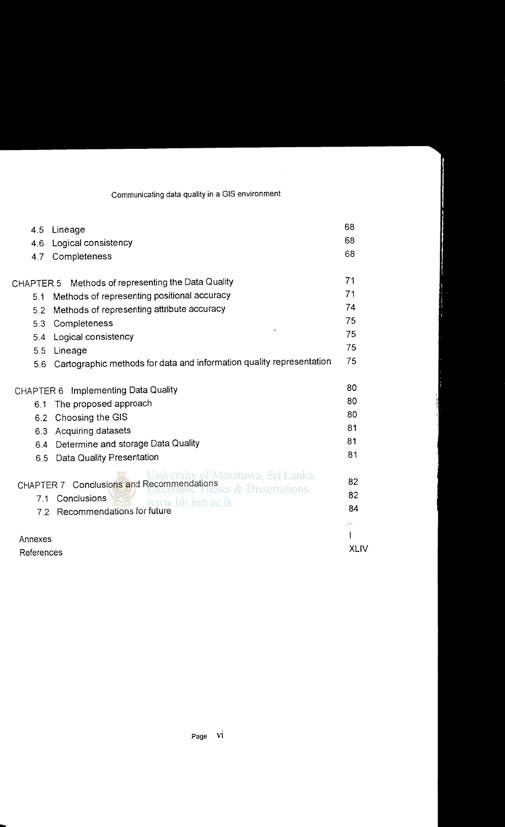| 4.5        | Lineage                                                                                                | 68          |
|------------|--------------------------------------------------------------------------------------------------------|-------------|
| 4.6        | Logical consistency                                                                                    | 68          |
| 4.7        | Completeness                                                                                           | 68          |
|            | CHAPTER 5 Methods of representing the Data Quality                                                     | 71          |
| 5.1        | Methods of representing positional accuracy                                                            | 71          |
| 5.2        | Methods of representing attribute accuracy                                                             | 74          |
| 5.3        | Completeness                                                                                           | 75          |
| 5.4        | Logical consistency                                                                                    | 75          |
| 5.5        | Lineage                                                                                                | 75          |
| 5.6        | Cartographic methods for data and information quality representation                                   | 75          |
|            | CHAPTER 6 Implementing Data Quality                                                                    | 80          |
| 6.1        | The proposed approach                                                                                  | 80          |
| 6.2        | Choosing the GIS                                                                                       | 80          |
| 6.3        | Acquiring datasets                                                                                     | 81          |
| 6.4        | Determine and storage Data Quality                                                                     | 81          |
| 6.5        | <b>Data Quality Presentation</b>                                                                       | 81          |
|            | University of Moratuwa, Sri Lanka.<br>CHAPTER 7 Conclusions and Recommendations<br>Ses & Dissertations | 82          |
|            | Conclusions<br>7.1                                                                                     | 82          |
|            | www.lib.mrt.ac.lk<br>7.2 Recommendations for future                                                    | 84          |
|            |                                                                                                        | بالإر       |
| Annexes    |                                                                                                        | <b>XLIV</b> |
| References |                                                                                                        |             |

-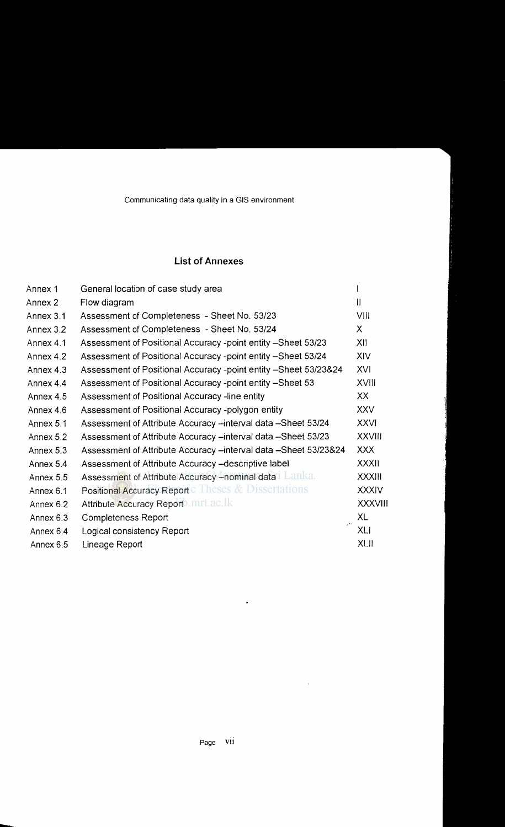## **List of Annexes**

| Annex 1   | General location of case study area                              |                |
|-----------|------------------------------------------------------------------|----------------|
| Annex 2   | Flow diagram                                                     | H              |
| Annex 3.1 | Assessment of Completeness - Sheet No. 53/23                     | VIII           |
| Annex 3.2 | Assessment of Completeness - Sheet No. 53/24                     | X              |
| Annex 4.1 | Assessment of Positional Accuracy -point entity -- Sheet 53/23   | XII            |
| Annex 4.2 | Assessment of Positional Accuracy -point entity -Sheet 53/24     | XIV            |
| Annex 4.3 | Assessment of Positional Accuracy -point entity -Sheet 53/23&24  | XVI            |
| Annex 4.4 | Assessment of Positional Accuracy -point entity -Sheet 53        | <b>XVIII</b>   |
| Annex 4.5 | Assessment of Positional Accuracy -line entity                   | XX             |
| Annex 4.6 | Assessment of Positional Accuracy -polygon entity                | <b>XXV</b>     |
| Annex 5.1 | Assessment of Attribute Accuracy -- interval data -- Sheet 53/24 | <b>XXVI</b>    |
| Annex 5.2 | Assessment of Attribute Accuracy -interval data -Sheet 53/23     | <b>XXVIII</b>  |
| Annex 5.3 | Assessment of Attribute Accuracy -interval data -Sheet 53/23&24  | <b>XXX</b>     |
| Annex 5.4 | Assessment of Attribute Accuracy - descriptive label             | <b>XXXII</b>   |
| Annex 5.5 | Assessment of Attribute Accuracy - nominal data Lanka.           | <b>XXXIII</b>  |
| Annex 6.1 | Positional Accuracy Report C Theses & Dissertations              | <b>XXXIV</b>   |
| Annex 6.2 | Attribute Accuracy Report mrt.ac.lk                              | <b>XXXVIII</b> |
| Annex 6.3 | Completeness Report<br>$\sqrt{2}$ .                              | XL             |
| Annex 6.4 | Logical consistency Report                                       | <b>XLI</b>     |
| Annex 6.5 | Lineage Report                                                   | <b>XLII</b>    |

 $\bullet$ 

 $\sim 10^{-10}$ 

-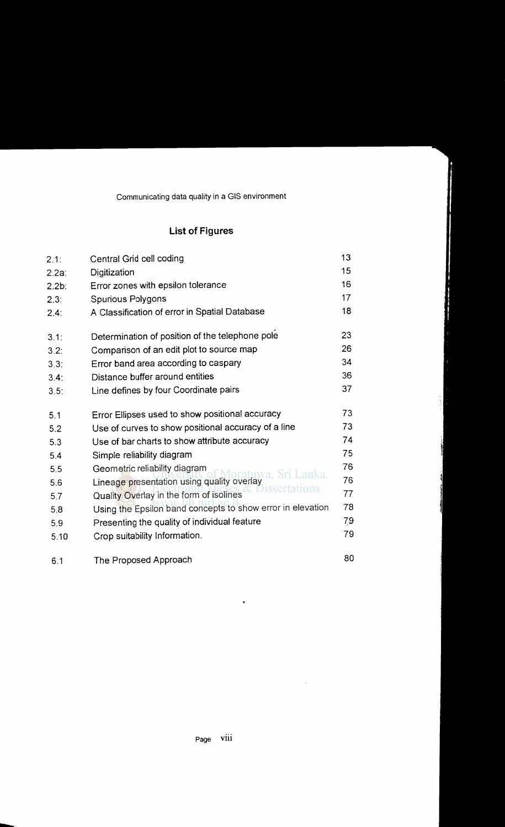## **List of Figures**

| 2.1:     | Central Grid cell coding                                   | 13  |
|----------|------------------------------------------------------------|-----|
| $2.2a$ : | Digitization                                               | 15  |
| $2.2b$ : | Error zones with epsilon tolerance                         | 16  |
| 2.3:     | Spurious Polygons                                          | 17  |
| 2.4:     | A Classification of error in Spatial Database              | 18  |
| 3.1:     | Determination of position of the telephone pole            | 23  |
| 3.2:     | Comparison of an edit plot to source map                   | 26  |
| 3.3:     | Error band area according to caspary                       | 34  |
| 3.4:     | Distance buffer around entities                            | 36  |
| 3.5:     | Line defines by four Coordinate pairs                      | 37  |
| 5.1      | Error Ellipses used to show positional accuracy            | 73  |
| 5.2      | Use of curves to show positional accuracy of a line        | 73  |
| 5.3      | Use of bar charts to show attribute accuracy               | 74  |
| 5.4      | Simple reliability diagram                                 | 75  |
| 5.5      | Geometric reliability diagram<br>ıwa. Sri Lanka.           | 76  |
| 5.6      | Lineage presentation using quality overlay<br>issertations | 76  |
| 5.7      | Quality Overlay in the form of isolines                    | 77  |
| 5.8      | Using the Epsilon band concepts to show error in elevation | 78  |
| 5.9      | Presenting the quality of individual feature               | 7,9 |
| 5.10     | Crop suitability Information.                              | 79  |
|          |                                                            |     |

6.1 The Proposed Approach **80** 

-..

 $\bar{\alpha}$ 

 $\bullet$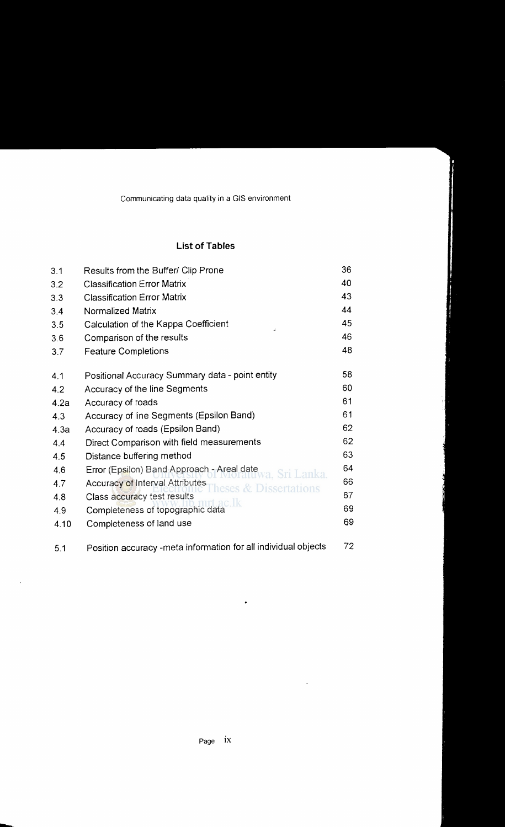#### **List of Tables**

| 3.1  | Results from the Buffer/ Clip Prone                            | 36 |
|------|----------------------------------------------------------------|----|
| 3.2  | <b>Classification Error Matrix</b>                             | 40 |
| 3.3  | <b>Classification Error Matrix</b>                             | 43 |
| 3.4  | Normalized Matrix                                              | 44 |
| 3.5  | Calculation of the Kappa Coefficient                           | 45 |
| 3.6  | Comparison of the results                                      | 46 |
| 3.7  | <b>Feature Completions</b>                                     | 48 |
| 4.1  | Positional Accuracy Summary data - point entity                | 58 |
| 4.2  | Accuracy of the line Segments                                  | 60 |
| 4.2a | Accuracy of roads                                              | 61 |
| 4.3  | Accuracy of line Segments (Epsilon Band)                       | 61 |
| 4.3a | Accuracy of roads (Epsilon Band)                               | 62 |
| 4.4  | Direct Comparison with field measurements                      | 62 |
| 4.5  | Distance buffering method                                      | 63 |
| 4.6  | Error (Epsilon) Band Approach - Areal date<br>va. Sri Lanka.   | 64 |
| 4.7  | Accuracy of Interval Attributes<br>eses & Dissertations        | 66 |
| 4.8  | Class accuracy test results<br>ac 1k                           | 67 |
| 4.9  | Completeness of topographic data                               | 69 |
| 4.10 | Completeness of land use                                       | 69 |
| 5.1  | Position accuracy -meta information for all individual objects | 72 |

 $\bullet$ 

 $\sim 10^{-10}$ 

-

 $\mathcal{A}$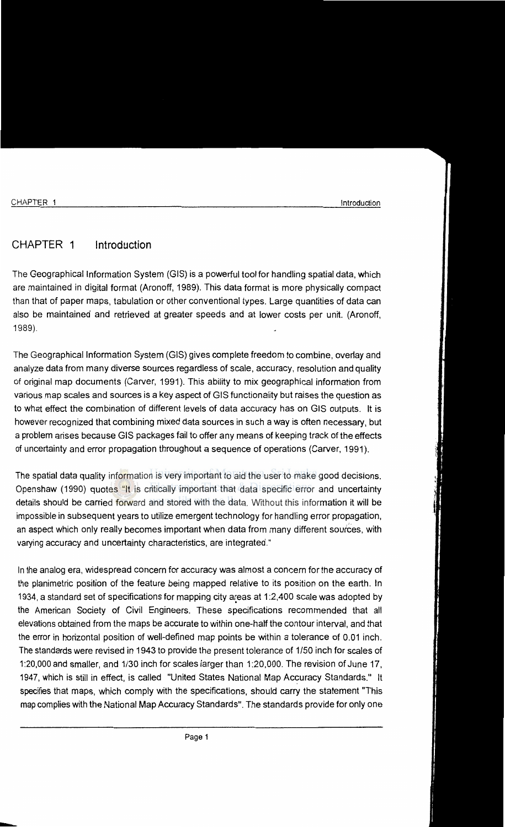---

## CHAPTER 1 Introduction

The Geographical Information System (GIS) is a powerful tool for handling spatial data, which are maintained in digital format (Aronoff, 1989). This data format is more physically compact than that of paper maps, tabulation or other conventional types. Large quantities of data can also be maintained and retrieved at greater speeds and at lower costs per unit. (Aronoff, 1989).

The Geographical Information System (GIS) gives complete freedom to combine, overlay and analyze data from many diverse sources regardless of scale, accuracy, resolution and quality of original map documents (Carver, 1991). This ability to mix geographical information from various map scales and sources is a key aspect of GIS functionality but raises the question as to what effect the combination of different levels of data accuracy has on GIS outputs. It is however recognized that combining mixed data sources in such a way is often necessary, but a problem arises because GIS packages fail to offer any means of keeping track of the effects of uncertainty and error propagation throughout a sequence of operations (Carver, 1991 ).

The spatial data quality information is very important to aid the user to make good decisions. Openshaw (1990) quotes "It is critically important that data specific error and uncertainty details should be carried forward and stored with the data. Without this information it will be impossible in subsequent years to utilize emergent technology for handling error propagation, an aspect which only really becomes important when data from many different sources, with varying accuracy and uncertainty characteristics, are integrated."

In the analog era, widespread concern for accuracy was almost a concern for the accuracy of the planimetric position of the feature being mapped relative to its position on the earth. In 1934, a standard set of specifications for mapping city a~eas at 1 :2,400 scale was adopted by the American Society of Civil Engineers. These specifications recommended that all elevations obtained from the maps be accurate to within one-half the contour interval, and that the error in horizontal position of well-defined map points be within a tolerance of 0.01 inch. The standards were revised in 1943 to provide the present tolerance of 1/50 inch for scales of 1:20,000 and smaller, and 1/30 inch for scales larger than 1:20,000. The revision of June 17, 1947, which is still in effect, is called "United States National Map Accuracy Standards." It specifies that maps, which comply with the specifications, should carry the statement "This map complies with the National Map Accuracy Standards". The standards provide for only one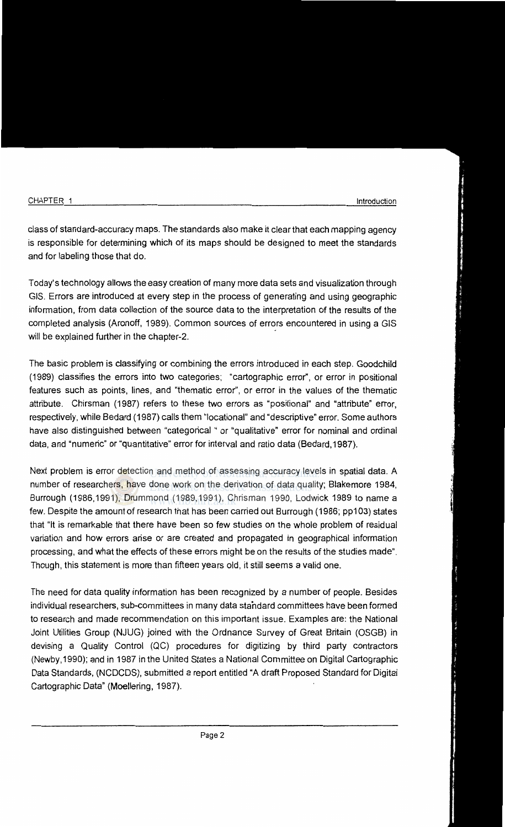class of standard-accuracy maps. The standards also make it clear that each mapping agency is responsible for determining which of its maps should be designed to meet the standards and for labeling those that do.

Today's technology allows the easy creation of many more data sets and visualization through GIS. Errors are introduced at every step in the process of generating and using geographic information, from data collection of the source data to the interpretation of the results of the completed analysis (Aronoff, 1989). Common sources of errors encountered in using a GIS will be explained further in the chapter-2.

The basic problem is classifying or combining the errors introduced in each step. Goodchild ( 1989) classifies the errors into two categories; "cartographic error", or error in positional features such as points, lines, and "thematic error'', or error in the values of the thematic attribute. Chirsman (1987) refers to these two errors as "positional" and "attribute" error, respectively, while Bedard (1987) calls them "locational" and "descriptive" error. Some authors have also distinguished between "categorical " or "qualitative" error for nominal and ordinal data, and "numeric" or "quantitative" error for interval and ratio data (Bedard, 1987).

Next problem is error detection and method of assessing accuracy levels in spatial data. A number of researchers, have done work on the derivation of data quality; Blakemore 1984, Burrough (1986, 1991), Drummond (1989, 1991), Chrisman 1990, Lodwick 1989 to name a few. Despite the amount of research that has been carried out Burrough (1986; pp103) states that "It is remarkable that there have been so few studies on the whole problem of residual variation and how errors arise or are created and propagated in geographical information processing, and what the effects of these errors might be on the results of the studies made". Though, this statement is more than fifteen years old, it still seems a valid one.

The need for data quality information has been recognized by a number of people. Besides individual researchers, sub-committees in many data standard committees have been formed to research and made recommendation on this important issue. Examples are: the National Joint Utilities Group (NJUG) joined with the Ordnance Survey of Great Britain (OSGB) in devising a Quality Control (QC) procedures for digitizing by third party contractors (Newby, 1990); and in 1987 in the United States a National Committee on Digital Cartographic Data Standards, (NCDCDS), submitted a report entitled "A draft Proposed Standard for Digital Cartographic Data" (Moellering, 1987).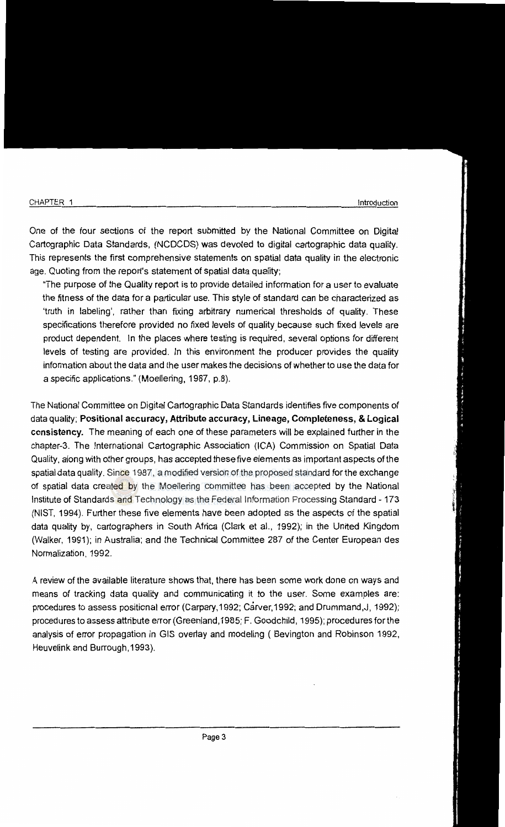One of the four sections of the report submitted by the National Committee on Digital Cartographic Data Standards, (NCDCDS) was devoted to digital cartographic data quality. This represents the first comprehensive statements on spatial data quality in the electronic age. Quoting from the report's statement of spatial data quality;

"The purpose of the Quality report is to provide detailed information for a user to evaluate the fitness of the data for a particular use. This style of standard can be characterized as 'truth in labeling', rather than fixing arbitrary numerical thresholds of quality. These specifications therefore provided no fixed levels of quality because such fixed levels are product dependent. In the places where testing is required, several options for different levels of testing are provided. In this environment the producer provides the quality information about the data and the user makes the decisions of whether to use the data for a specific applications." (Moellering, 1987, p.8).

The National Committee on Digital Cartographic Data Standards identifies five components of data quality; **Positional accuracy, Attribute accuracy, Lineage, Completeness, & Logical consistency.** The meaning of each one of these parameters will be explained further in the chapter-3. The International Cartographic Association (ICA) Commission on Spatial Data Quality, along with other groups, has accepted these five elements as important aspects of the spatial data quality. Since 1987, a modified version of the proposed standard for the exchange of spatial data created by the Moellering committee has been accepted by the National Institute of Standards and Technology as the Federal Information Processing Standard- 173 (NIST, 1994). Further these five elements have been adopted as the aspects of the spatial data quality by, cartographers in South Africa (Clark et al., 1992); in the United Kingdom (Walker, 1991); in Australia; and the Technical Committee 287 of the Center European des Normalization, 1992.

A review of the available literature shows that, there has been some work done on ways and means of tracking data quality and communicating it to the user. Some examples are: procedures to assess positional error (Carpary, 1992; Carver, 1992; and Drummand,J, 1992); procedures to assess attribute error (Greenland,1985; F. Goodchild, 1995); procedures for the analysis of error propagation in GIS overlay and modeling ( Bevington and Robinson 1992, Heuvelink and Burrough, 1993).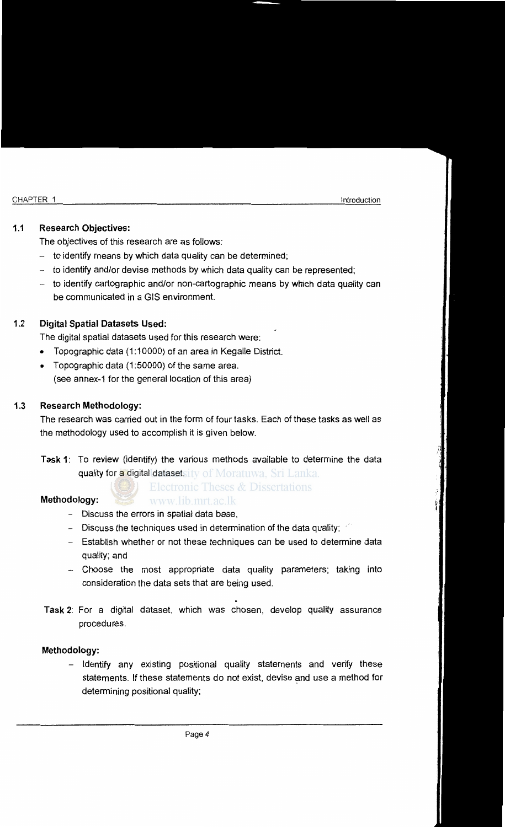#### **1.1 Research Objectives:**

The objectives of this research are as follows:

- $-$  to identify means by which data quality can be determined;
- to identify and/or devise methods by which data quality can be represented;
- to identify cartographic and/or non-cartographic means by which data quality can be communicated in a GIS environment.

### 1.2 **Digital Spatial Datasets Used:**

The digital spatial datasets used for this research were:

- Topographic data (1:10000) of an area in Kegalle District.
- Topographic data (1:50000) of the same area. (see annex-1 for the general location of this area)

#### 1.3 **Research Methodology:**

The research was carried out in the form of four tasks. Each of these tasks as well as the methodology used to accomplish it is given below.

**Task 1:** To review (identify) the various methods available to determine the data quality for a digital datasetsity of Moratuwa, Sri Lanka.

**Electronic Theses & Dissertations** 

#### **Methodology:**

- Discuss the errors in spatial data base,
- Discuss the techniques used in determination of the data quality;

www.lib.mrt.ac.lk

- Establish whether or not these techniques can be used to determine data quality; and
- Choose the most appropriate data quality parameters; taking into consideration the data sets that are being used.
- **Task 2:** For a digital dataset, which was chosen, develop quality assurance procedures.

#### **Methodology:**

- Identify any existing positional quality statements and verify these statements. If these statements do not exist, devise and use a method for determining positional quality;